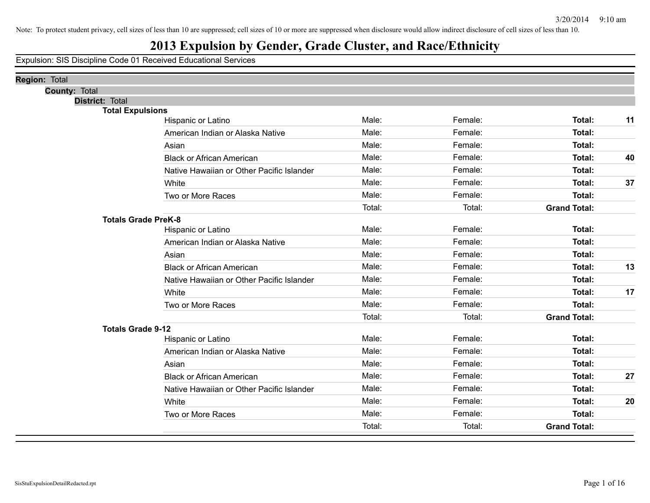## **2013 Expulsion by Gender, Grade Cluster, and Race/Ethnicity**

| <b>Region: Total</b>       |                                           |        |         |                     |    |
|----------------------------|-------------------------------------------|--------|---------|---------------------|----|
| <b>County: Total</b>       |                                           |        |         |                     |    |
| District: Total            |                                           |        |         |                     |    |
| <b>Total Expulsions</b>    | Hispanic or Latino                        | Male:  | Female: | Total:              | 11 |
|                            | American Indian or Alaska Native          | Male:  | Female: | <b>Total:</b>       |    |
|                            |                                           | Male:  | Female: |                     |    |
|                            | Asian                                     |        |         | Total:              |    |
|                            | <b>Black or African American</b>          | Male:  | Female: | <b>Total:</b>       | 40 |
|                            | Native Hawaiian or Other Pacific Islander | Male:  | Female: | <b>Total:</b>       |    |
|                            | White                                     | Male:  | Female: | Total:              | 37 |
|                            | Two or More Races                         | Male:  | Female: | Total:              |    |
|                            |                                           | Total: | Total:  | <b>Grand Total:</b> |    |
| <b>Totals Grade PreK-8</b> |                                           |        |         |                     |    |
|                            | Hispanic or Latino                        | Male:  | Female: | Total:              |    |
|                            | American Indian or Alaska Native          | Male:  | Female: | Total:              |    |
|                            | Asian                                     | Male:  | Female: | Total:              |    |
|                            | <b>Black or African American</b>          | Male:  | Female: | <b>Total:</b>       | 13 |
|                            | Native Hawaiian or Other Pacific Islander | Male:  | Female: | Total:              |    |
|                            | White                                     | Male:  | Female: | Total:              | 17 |
|                            | Two or More Races                         | Male:  | Female: | <b>Total:</b>       |    |
|                            |                                           | Total: | Total:  | <b>Grand Total:</b> |    |
| <b>Totals Grade 9-12</b>   |                                           |        |         |                     |    |
|                            | Hispanic or Latino                        | Male:  | Female: | Total:              |    |
|                            | American Indian or Alaska Native          | Male:  | Female: | <b>Total:</b>       |    |
|                            | Asian                                     | Male:  | Female: | Total:              |    |
|                            | <b>Black or African American</b>          | Male:  | Female: | Total:              | 27 |
|                            | Native Hawaiian or Other Pacific Islander | Male:  | Female: | Total:              |    |
|                            | White                                     | Male:  | Female: | <b>Total:</b>       | 20 |
|                            | Two or More Races                         | Male:  | Female: | <b>Total:</b>       |    |
|                            |                                           | Total: | Total:  | <b>Grand Total:</b> |    |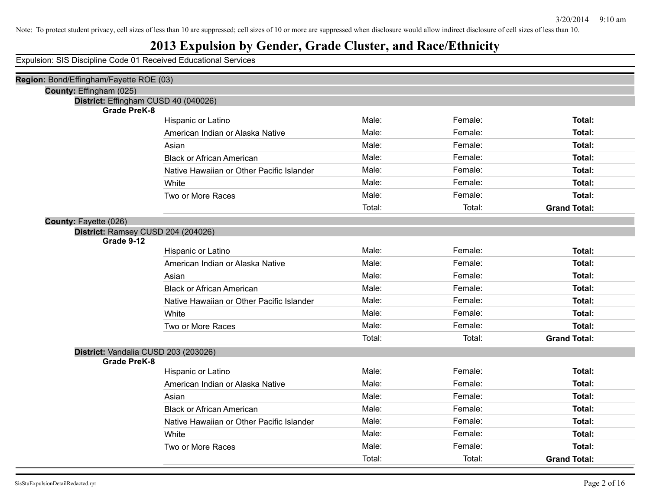## **2013 Expulsion by Gender, Grade Cluster, and Race/Ethnicity**

| Region: Bond/Effingham/Fayette ROE (03) |                                           |        |         |                     |
|-----------------------------------------|-------------------------------------------|--------|---------|---------------------|
| County: Effingham (025)                 |                                           |        |         |                     |
| District: Effingham CUSD 40 (040026)    |                                           |        |         |                     |
| <b>Grade PreK-8</b>                     |                                           | Male:  |         |                     |
|                                         | Hispanic or Latino                        |        | Female: | <b>Total:</b>       |
|                                         | American Indian or Alaska Native          | Male:  | Female: | <b>Total:</b>       |
|                                         | Asian                                     | Male:  | Female: | Total:              |
|                                         | <b>Black or African American</b>          | Male:  | Female: | <b>Total:</b>       |
|                                         | Native Hawaiian or Other Pacific Islander | Male:  | Female: | <b>Total:</b>       |
|                                         | White                                     | Male:  | Female: | Total:              |
|                                         | Two or More Races                         | Male:  | Female: | Total:              |
|                                         |                                           | Total: | Total:  | <b>Grand Total:</b> |
| County: Fayette (026)                   |                                           |        |         |                     |
| District: Ramsey CUSD 204 (204026)      |                                           |        |         |                     |
| Grade 9-12                              |                                           |        |         |                     |
|                                         | Hispanic or Latino                        | Male:  | Female: | Total:              |
|                                         | American Indian or Alaska Native          | Male:  | Female: | <b>Total:</b>       |
|                                         | Asian                                     | Male:  | Female: | Total:              |
|                                         | <b>Black or African American</b>          | Male:  | Female: | <b>Total:</b>       |
|                                         | Native Hawaiian or Other Pacific Islander | Male:  | Female: | <b>Total:</b>       |
|                                         | White                                     | Male:  | Female: | <b>Total:</b>       |
|                                         | Two or More Races                         | Male:  | Female: | Total:              |
|                                         |                                           | Total: | Total:  | <b>Grand Total:</b> |
| District: Vandalia CUSD 203 (203026)    |                                           |        |         |                     |
| <b>Grade PreK-8</b>                     |                                           |        |         |                     |
|                                         | Hispanic or Latino                        | Male:  | Female: | <b>Total:</b>       |
|                                         | American Indian or Alaska Native          | Male:  | Female: | Total:              |
|                                         | Asian                                     | Male:  | Female: | <b>Total:</b>       |
|                                         | <b>Black or African American</b>          | Male:  | Female: | Total:              |
|                                         | Native Hawaiian or Other Pacific Islander | Male:  | Female: | <b>Total:</b>       |
|                                         | White                                     | Male:  | Female: | Total:              |
|                                         | Two or More Races                         | Male:  | Female: | <b>Total:</b>       |
|                                         |                                           | Total: | Total:  | <b>Grand Total:</b> |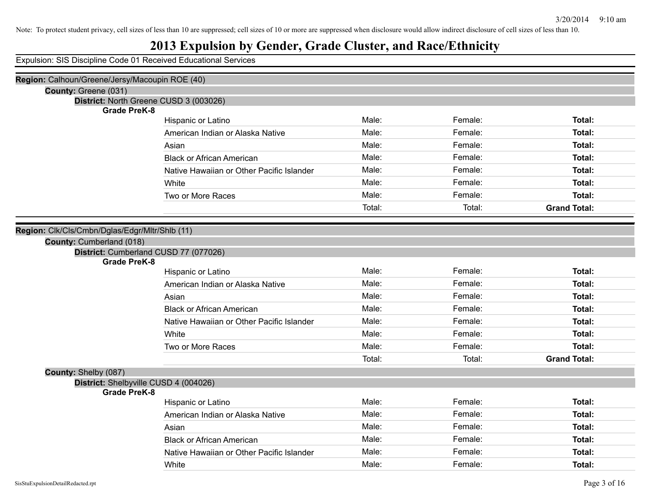## **2013 Expulsion by Gender, Grade Cluster, and Race/Ethnicity**

| Region: Calhoun/Greene/Jersy/Macoupin ROE (40) |                                           |        |         |                     |
|------------------------------------------------|-------------------------------------------|--------|---------|---------------------|
| County: Greene (031)                           |                                           |        |         |                     |
| <b>Grade PreK-8</b>                            | District: North Greene CUSD 3 (003026)    |        |         |                     |
|                                                | Hispanic or Latino                        | Male:  | Female: | Total:              |
|                                                | American Indian or Alaska Native          | Male:  | Female: | Total:              |
|                                                | Asian                                     | Male:  | Female: | Total:              |
|                                                | <b>Black or African American</b>          | Male:  | Female: | Total:              |
|                                                | Native Hawaiian or Other Pacific Islander | Male:  | Female: | Total:              |
|                                                | White                                     | Male:  | Female: | Total:              |
|                                                | Two or More Races                         | Male:  | Female: | Total:              |
|                                                |                                           | Total: | Total:  | <b>Grand Total:</b> |
|                                                |                                           |        |         |                     |
| Region: Clk/Cls/Cmbn/Dglas/Edgr/Mltr/Shlb (11) |                                           |        |         |                     |
| County: Cumberland (018)                       |                                           |        |         |                     |
| <b>Grade PreK-8</b>                            | District: Cumberland CUSD 77 (077026)     |        |         |                     |
|                                                | Hispanic or Latino                        | Male:  | Female: | Total:              |
|                                                | American Indian or Alaska Native          | Male:  | Female: | Total:              |
|                                                | Asian                                     | Male:  | Female: | Total:              |
|                                                | <b>Black or African American</b>          | Male:  | Female: | Total:              |
|                                                | Native Hawaiian or Other Pacific Islander | Male:  | Female: | Total:              |
|                                                | White                                     | Male:  | Female: | Total:              |
|                                                | Two or More Races                         | Male:  | Female: | Total:              |
|                                                |                                           | Total: | Total:  | <b>Grand Total:</b> |
|                                                |                                           |        |         |                     |
| County: Shelby (087)                           | District: Shelbyville CUSD 4 (004026)     |        |         |                     |
| <b>Grade PreK-8</b>                            |                                           |        |         |                     |
|                                                | <b>Hispanic or Latino</b>                 | Male:  | Female: | Total:              |
|                                                | American Indian or Alaska Native          | Male:  | Female: | Total:              |
|                                                | Asian                                     | Male:  | Female: | Total:              |
|                                                | <b>Black or African American</b>          | Male:  | Female: | Total:              |
|                                                | Native Hawaiian or Other Pacific Islander | Male:  | Female: | Total:              |
|                                                | White                                     | Male:  | Female: | Total:              |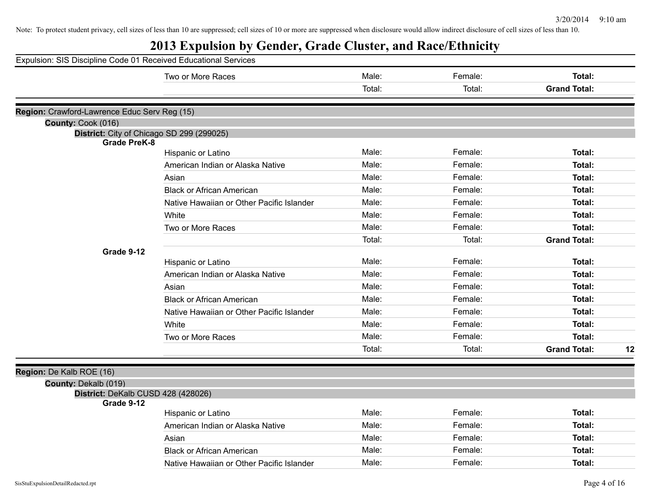# **2013 Expulsion by Gender, Grade Cluster, and Race/Ethnicity**

| Expulsion: SIS Discipline Code 01 Received Educational Services  |                                           |        |         |                           |
|------------------------------------------------------------------|-------------------------------------------|--------|---------|---------------------------|
|                                                                  | Two or More Races                         | Male:  | Female: | Total:                    |
|                                                                  |                                           | Total: | Total:  | <b>Grand Total:</b>       |
|                                                                  |                                           |        |         |                           |
| Region: Crawford-Lawrence Educ Serv Reg (15)                     |                                           |        |         |                           |
| County: Cook (016)                                               |                                           |        |         |                           |
| District: City of Chicago SD 299 (299025)<br><b>Grade PreK-8</b> |                                           |        |         |                           |
|                                                                  | Hispanic or Latino                        | Male:  | Female: | Total:                    |
|                                                                  | American Indian or Alaska Native          | Male:  | Female: | Total:                    |
|                                                                  | Asian                                     | Male:  | Female: | Total:                    |
|                                                                  | <b>Black or African American</b>          | Male:  | Female: | Total:                    |
|                                                                  | Native Hawaiian or Other Pacific Islander | Male:  | Female: | Total:                    |
|                                                                  | White                                     | Male:  | Female: | Total:                    |
|                                                                  | Two or More Races                         | Male:  | Female: | Total:                    |
|                                                                  |                                           | Total: | Total:  | <b>Grand Total:</b>       |
| Grade 9-12                                                       |                                           |        |         |                           |
|                                                                  | Hispanic or Latino                        | Male:  | Female: | Total:                    |
|                                                                  | American Indian or Alaska Native          | Male:  | Female: | Total:                    |
|                                                                  | Asian                                     | Male:  | Female: | Total:                    |
|                                                                  | <b>Black or African American</b>          | Male:  | Female: | Total:                    |
|                                                                  | Native Hawaiian or Other Pacific Islander | Male:  | Female: | Total:                    |
|                                                                  | White                                     | Male:  | Female: | Total:                    |
|                                                                  | Two or More Races                         | Male:  | Female: | Total:                    |
|                                                                  |                                           | Total: | Total:  | <b>Grand Total:</b><br>12 |
|                                                                  |                                           |        |         |                           |
| Region: De Kalb ROE (16)                                         |                                           |        |         |                           |
| County: Dekalb (019)<br>District: DeKalb CUSD 428 (428026)       |                                           |        |         |                           |
| Grade 9-12                                                       |                                           |        |         |                           |
|                                                                  | Hispanic or Latino                        | Male:  | Female: | Total:                    |
|                                                                  | American Indian or Alaska Native          | Male:  | Female: | Total:                    |
|                                                                  | Asian                                     | Male:  | Female: | Total:                    |
|                                                                  | <b>Black or African American</b>          | Male:  | Female: | Total:                    |
|                                                                  | Native Hawaiian or Other Pacific Islander | Male:  | Female: | Total:                    |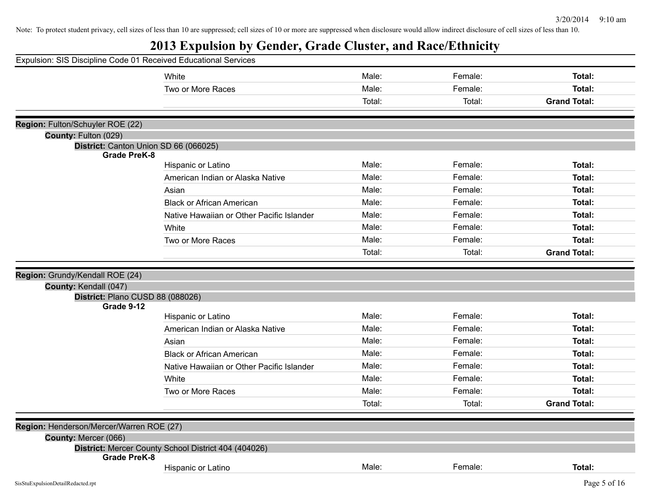# **2013 Expulsion by Gender, Grade Cluster, and Race/Ethnicity**

| Expulsion: SIS Discipline Code 01 Received Educational Services |                                                      |        |         |                     |
|-----------------------------------------------------------------|------------------------------------------------------|--------|---------|---------------------|
|                                                                 | White                                                | Male:  | Female: | Total:              |
|                                                                 | Two or More Races                                    | Male:  | Female: | Total:              |
|                                                                 |                                                      | Total: | Total:  | <b>Grand Total:</b> |
|                                                                 |                                                      |        |         |                     |
| Region: Fulton/Schuyler ROE (22)                                |                                                      |        |         |                     |
| County: Fulton (029)<br>District: Canton Union SD 66 (066025)   |                                                      |        |         |                     |
| <b>Grade PreK-8</b>                                             |                                                      |        |         |                     |
|                                                                 | Hispanic or Latino                                   | Male:  | Female: | Total:              |
|                                                                 | American Indian or Alaska Native                     | Male:  | Female: | Total:              |
|                                                                 | Asian                                                | Male:  | Female: | Total:              |
|                                                                 | <b>Black or African American</b>                     | Male:  | Female: | Total:              |
|                                                                 | Native Hawaiian or Other Pacific Islander            | Male:  | Female: | Total:              |
|                                                                 | White                                                | Male:  | Female: | Total:              |
|                                                                 | Two or More Races                                    | Male:  | Female: | Total:              |
|                                                                 |                                                      | Total: | Total:  | <b>Grand Total:</b> |
|                                                                 |                                                      |        |         |                     |
| Region: Grundy/Kendall ROE (24)                                 |                                                      |        |         |                     |
| County: Kendall (047)                                           |                                                      |        |         |                     |
| District: Plano CUSD 88 (088026)<br>Grade 9-12                  |                                                      |        |         |                     |
|                                                                 | Hispanic or Latino                                   | Male:  | Female: | Total:              |
|                                                                 | American Indian or Alaska Native                     | Male:  | Female: | Total:              |
|                                                                 | Asian                                                | Male:  | Female: | Total:              |
|                                                                 | <b>Black or African American</b>                     | Male:  | Female: | Total:              |
|                                                                 | Native Hawaiian or Other Pacific Islander            | Male:  | Female: | Total:              |
|                                                                 | White                                                | Male:  | Female: | Total:              |
|                                                                 | Two or More Races                                    | Male:  | Female: | Total:              |
|                                                                 |                                                      | Total: | Total:  | <b>Grand Total:</b> |
|                                                                 |                                                      |        |         |                     |
| Region: Henderson/Mercer/Warren ROE (27)                        |                                                      |        |         |                     |
| County: Mercer (066)                                            |                                                      |        |         |                     |
| <b>Grade PreK-8</b>                                             | District: Mercer County School District 404 (404026) |        |         |                     |
|                                                                 | Hispanic or Latino                                   | Male:  | Female: | Total:              |
| SisStuExpulsionDetailRedacted.rpt                               |                                                      |        |         | Page 5 of 16        |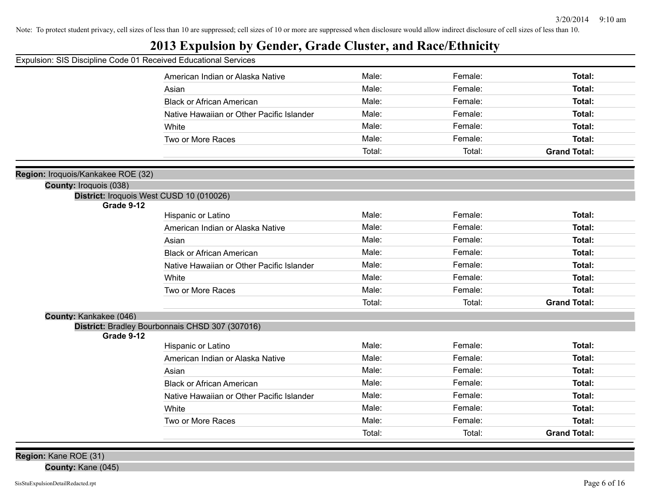## **2013 Expulsion by Gender, Grade Cluster, and Race/Ethnicity**

| Expulsion: SIS Discipline Code 01 Received Educational Services |
|-----------------------------------------------------------------|
|-----------------------------------------------------------------|

|                                    | American Indian or Alaska Native                | Male:  | Female: | Total:              |
|------------------------------------|-------------------------------------------------|--------|---------|---------------------|
|                                    | Asian                                           | Male:  | Female: | Total:              |
|                                    | <b>Black or African American</b>                | Male:  | Female: | Total:              |
|                                    | Native Hawaiian or Other Pacific Islander       | Male:  | Female: | <b>Total:</b>       |
|                                    | White                                           | Male:  | Female: | Total:              |
|                                    | Two or More Races                               | Male:  | Female: | <b>Total:</b>       |
|                                    |                                                 | Total: | Total:  | <b>Grand Total:</b> |
| Region: Iroquois/Kankakee ROE (32) |                                                 |        |         |                     |
| <b>County: Iroquois (038)</b>      |                                                 |        |         |                     |
|                                    | District: Iroquois West CUSD 10 (010026)        |        |         |                     |
| Grade 9-12                         |                                                 |        |         |                     |
|                                    | Hispanic or Latino                              | Male:  | Female: | Total:              |
|                                    | American Indian or Alaska Native                | Male:  | Female: | Total:              |
|                                    | Asian                                           | Male:  | Female: | <b>Total:</b>       |
|                                    | <b>Black or African American</b>                | Male:  | Female: | <b>Total:</b>       |
|                                    | Native Hawaiian or Other Pacific Islander       | Male:  | Female: | <b>Total:</b>       |
|                                    | White                                           | Male:  | Female: | Total:              |
|                                    | Two or More Races                               | Male:  | Female: | Total:              |
|                                    |                                                 | Total: | Total:  | <b>Grand Total:</b> |
| County: Kankakee (046)             |                                                 |        |         |                     |
| Grade 9-12                         | District: Bradley Bourbonnais CHSD 307 (307016) |        |         |                     |
|                                    | Hispanic or Latino                              | Male:  | Female: | <b>Total:</b>       |
|                                    | American Indian or Alaska Native                | Male:  | Female: | Total:              |
|                                    | Asian                                           | Male:  | Female: | <b>Total:</b>       |
|                                    | <b>Black or African American</b>                | Male:  | Female: | Total:              |
|                                    | Native Hawaiian or Other Pacific Islander       | Male:  | Female: | <b>Total:</b>       |
|                                    | White                                           | Male:  | Female: | Total:              |
|                                    | Two or More Races                               | Male:  | Female: | <b>Total:</b>       |
|                                    |                                                 | Total: | Total:  | <b>Grand Total:</b> |
|                                    |                                                 |        |         |                     |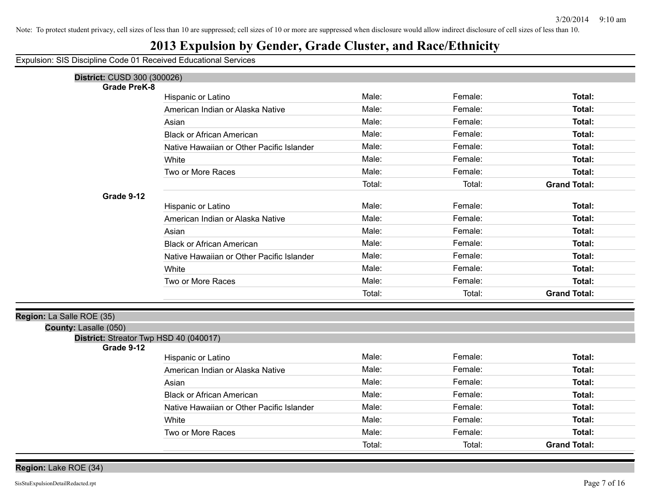## **2013 Expulsion by Gender, Grade Cluster, and Race/Ethnicity**

| District: CUSD 300 (300026)                          |                                           |        |         |                     |
|------------------------------------------------------|-------------------------------------------|--------|---------|---------------------|
| <b>Grade PreK-8</b>                                  |                                           |        |         |                     |
|                                                      | Hispanic or Latino                        | Male:  | Female: | Total:              |
|                                                      | American Indian or Alaska Native          | Male:  | Female: | Total:              |
|                                                      | Asian                                     | Male:  | Female: | Total:              |
|                                                      | <b>Black or African American</b>          | Male:  | Female: | Total:              |
|                                                      | Native Hawaiian or Other Pacific Islander | Male:  | Female: | Total:              |
|                                                      | White                                     | Male:  | Female: | Total:              |
|                                                      | Two or More Races                         | Male:  | Female: | Total:              |
|                                                      |                                           | Total: | Total:  | <b>Grand Total:</b> |
| Grade 9-12                                           |                                           |        |         |                     |
|                                                      | Hispanic or Latino                        | Male:  | Female: | Total:              |
|                                                      | American Indian or Alaska Native          | Male:  | Female: | Total:              |
|                                                      | Asian                                     | Male:  | Female: | Total:              |
|                                                      | <b>Black or African American</b>          | Male:  | Female: | Total:              |
|                                                      | Native Hawaiian or Other Pacific Islander | Male:  | Female: | Total:              |
|                                                      | White                                     | Male:  | Female: | Total:              |
|                                                      | Two or More Races                         | Male:  | Female: | Total:              |
|                                                      |                                           | Total: | Total:  | <b>Grand Total:</b> |
|                                                      |                                           |        |         |                     |
| Region: La Salle ROE (35)                            |                                           |        |         |                     |
| County: Lasalle (050)                                |                                           |        |         |                     |
| District: Streator Twp HSD 40 (040017)<br>Grade 9-12 |                                           |        |         |                     |
|                                                      | Hispanic or Latino                        | Male:  | Female: | Total:              |
|                                                      | American Indian or Alaska Native          | Male:  | Female: | Total:              |
|                                                      | Asian                                     | Male:  | Female: | Total:              |
|                                                      | <b>Black or African American</b>          | Male:  | Female: | Total:              |
|                                                      | Native Hawaiian or Other Pacific Islander | Male:  | Female: | Total:              |
|                                                      | White                                     | Male:  | Female: | Total:              |
|                                                      | Two or More Races                         | Male:  | Female: | Total:              |
|                                                      |                                           | Total: | Total:  | <b>Grand Total:</b> |
|                                                      |                                           |        |         |                     |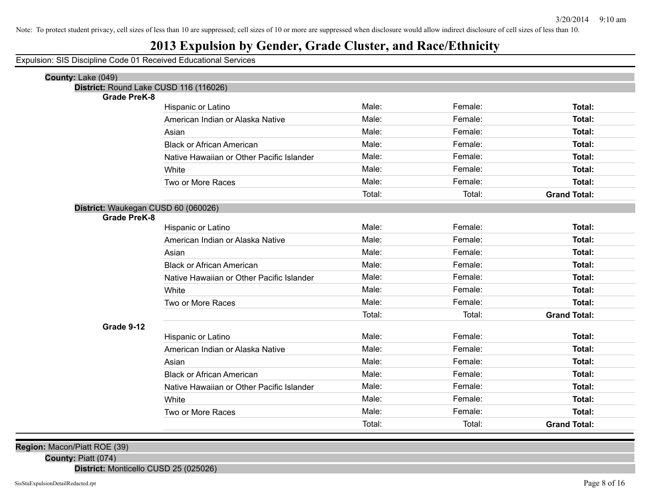### **2013 Expulsion by Gender, Grade Cluster, and Race/Ethnicity**

Expulsion: SIS Discipline Code 01 Received Educational Services

| County: Lake (049)                     |                                           |        |         |                     |
|----------------------------------------|-------------------------------------------|--------|---------|---------------------|
| District: Round Lake CUSD 116 (116026) |                                           |        |         |                     |
| <b>Grade PreK-8</b>                    |                                           | Male:  |         |                     |
|                                        | Hispanic or Latino                        |        | Female: | Total:              |
|                                        | American Indian or Alaska Native          | Male:  | Female: | <b>Total:</b>       |
|                                        | Asian                                     | Male:  | Female: | Total:              |
|                                        | <b>Black or African American</b>          | Male:  | Female: | <b>Total:</b>       |
|                                        | Native Hawaiian or Other Pacific Islander | Male:  | Female: | Total:              |
|                                        | White                                     | Male:  | Female: | Total:              |
|                                        | Two or More Races                         | Male:  | Female: | <b>Total:</b>       |
|                                        |                                           | Total: | Total:  | <b>Grand Total:</b> |
| District: Waukegan CUSD 60 (060026)    |                                           |        |         |                     |
| <b>Grade PreK-8</b>                    |                                           |        |         |                     |
|                                        | Hispanic or Latino                        | Male:  | Female: | Total:              |
|                                        | American Indian or Alaska Native          | Male:  | Female: | Total:              |
|                                        | Asian                                     | Male:  | Female: | Total:              |
|                                        | <b>Black or African American</b>          | Male:  | Female: | Total:              |
|                                        | Native Hawaiian or Other Pacific Islander | Male:  | Female: | Total:              |
|                                        | White                                     | Male:  | Female: | Total:              |
|                                        | Two or More Races                         | Male:  | Female: | Total:              |
|                                        |                                           | Total: | Total:  | <b>Grand Total:</b> |
| Grade 9-12                             |                                           |        |         |                     |
|                                        | Hispanic or Latino                        | Male:  | Female: | Total:              |
|                                        | American Indian or Alaska Native          | Male:  | Female: | Total:              |
|                                        | Asian                                     | Male:  | Female: | Total:              |
|                                        | <b>Black or African American</b>          | Male:  | Female: | <b>Total:</b>       |
|                                        | Native Hawaiian or Other Pacific Islander | Male:  | Female: | Total:              |
|                                        | White                                     | Male:  | Female: | <b>Total:</b>       |
|                                        | Two or More Races                         | Male:  | Female: | <b>Total:</b>       |
|                                        |                                           | Total: | Total:  | <b>Grand Total:</b> |

**Region:** Macon/Piatt ROE (39)

**County:** Piatt (074)

**District:** Monticello CUSD 25 (025026)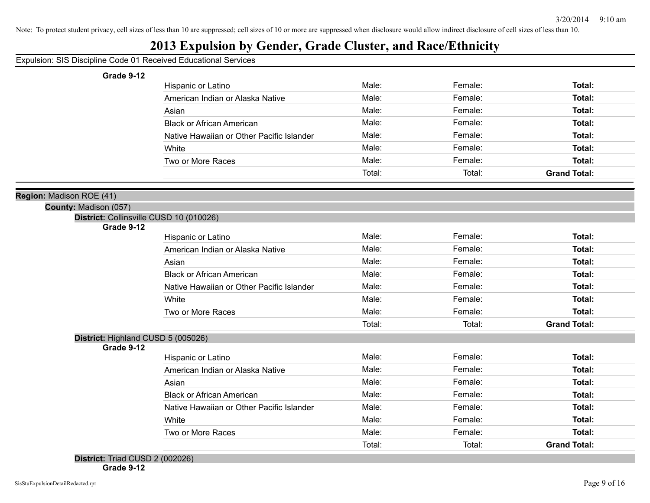### **2013 Expulsion by Gender, Grade Cluster, and Race/Ethnicity**

#### Expulsion: SIS Discipline Code 01 Received Educational Services

#### **Grade 9-12**

| Hispanic or Latino                        | Male:  | Female: | Total:              |
|-------------------------------------------|--------|---------|---------------------|
| American Indian or Alaska Native          | Male:  | Female: | Total:              |
| Asian                                     | Male:  | Female: | Total:              |
| <b>Black or African American</b>          | Male:  | Female: | Total:              |
| Native Hawaiian or Other Pacific Islander | Male:  | Female: | Total:              |
| White                                     | Male:  | Female: | Total:              |
| Two or More Races                         | Male:  | Female: | Total:              |
|                                           | Total: | Total:  | <b>Grand Total:</b> |

#### **Region:** Madison ROE (41)

**County:** Madison (057)

|  | District: Collinsville CUSD 10 (010026) |  |  |  |  |
|--|-----------------------------------------|--|--|--|--|
|--|-----------------------------------------|--|--|--|--|

**Grade 9-12**

| Hispanic or Latino                        | Male:  | Female: | Total:              |
|-------------------------------------------|--------|---------|---------------------|
| American Indian or Alaska Native          | Male:  | Female: | Total:              |
| Asian                                     | Male:  | Female: | Total:              |
| <b>Black or African American</b>          | Male:  | Female: | Total:              |
| Native Hawaiian or Other Pacific Islander | Male:  | Female: | Total:              |
| White                                     | Male:  | Female: | Total:              |
| Two or More Races                         | Male:  | Female: | Total:              |
|                                           | Total: | Total:  | <b>Grand Total:</b> |

#### **District:** Highland CUSD 5 (005026)

**Grade 9-12**

| Hispanic or Latino                        | Male:  | Female: | Total:              |
|-------------------------------------------|--------|---------|---------------------|
| American Indian or Alaska Native          | Male:  | Female: | Total:              |
| Asian                                     | Male:  | Female: | Total:              |
| <b>Black or African American</b>          | Male:  | Female: | Total:              |
| Native Hawaiian or Other Pacific Islander | Male:  | Female: | Total:              |
| White                                     | Male:  | Female: | Total:              |
| Two or More Races                         | Male:  | Female: | Total:              |
|                                           | Total: | Total:  | <b>Grand Total:</b> |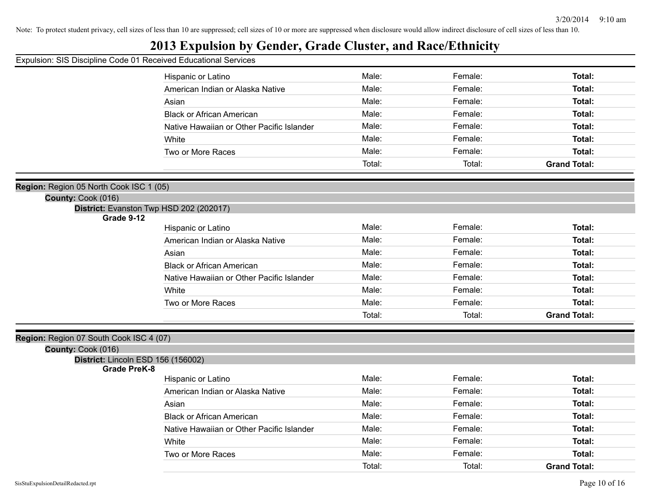## **2013 Expulsion by Gender, Grade Cluster, and Race/Ethnicity**

Expulsion: SIS Discipline Code 01 Received Educational Services

|                                         | Hispanic or Latino                        | Male:  | Female: | Total:              |
|-----------------------------------------|-------------------------------------------|--------|---------|---------------------|
|                                         | American Indian or Alaska Native          | Male:  | Female: | <b>Total:</b>       |
|                                         | Asian                                     | Male:  | Female: | Total:              |
|                                         | <b>Black or African American</b>          | Male:  | Female: | Total:              |
|                                         | Native Hawaiian or Other Pacific Islander | Male:  | Female: | Total:              |
|                                         | White                                     | Male:  | Female: | Total:              |
|                                         | Two or More Races                         | Male:  | Female: | <b>Total:</b>       |
|                                         |                                           | Total: | Total:  | <b>Grand Total:</b> |
|                                         |                                           |        |         |                     |
| Region: Region 05 North Cook ISC 1 (05) |                                           |        |         |                     |
| County: Cook (016)                      |                                           |        |         |                     |
| Grade 9-12                              | District: Evanston Twp HSD 202 (202017)   |        |         |                     |
|                                         | Hispanic or Latino                        | Male:  | Female: | Total:              |
|                                         | American Indian or Alaska Native          | Male:  | Female: | Total:              |
|                                         | Asian                                     | Male:  | Female: | <b>Total:</b>       |
|                                         | <b>Black or African American</b>          | Male:  | Female: | Total:              |
|                                         | Native Hawaiian or Other Pacific Islander | Male:  | Female: | Total:              |
|                                         | White                                     | Male:  | Female: | Total:              |
|                                         | Two or More Races                         | Male:  | Female: | <b>Total:</b>       |
|                                         |                                           | Total: | Total:  | <b>Grand Total:</b> |
|                                         |                                           |        |         |                     |
| Region: Region 07 South Cook ISC 4 (07) |                                           |        |         |                     |
| County: Cook (016)                      |                                           |        |         |                     |
| District: Lincoln ESD 156 (156002)      |                                           |        |         |                     |
| <b>Grade PreK-8</b>                     | Hispanic or Latino                        | Male:  | Female: | Total:              |
|                                         | American Indian or Alaska Native          | Male:  | Female: | Total:              |
|                                         | Asian                                     | Male:  | Female: | Total:              |
|                                         | <b>Black or African American</b>          | Male:  | Female: | <b>Total:</b>       |
|                                         | Native Hawaiian or Other Pacific Islander | Male:  | Female: | Total:              |
|                                         | White                                     | Male:  | Female: | Total:              |
|                                         | Two or More Races                         | Male:  | Female: | <b>Total:</b>       |
|                                         |                                           | Total: | Total:  | <b>Grand Total:</b> |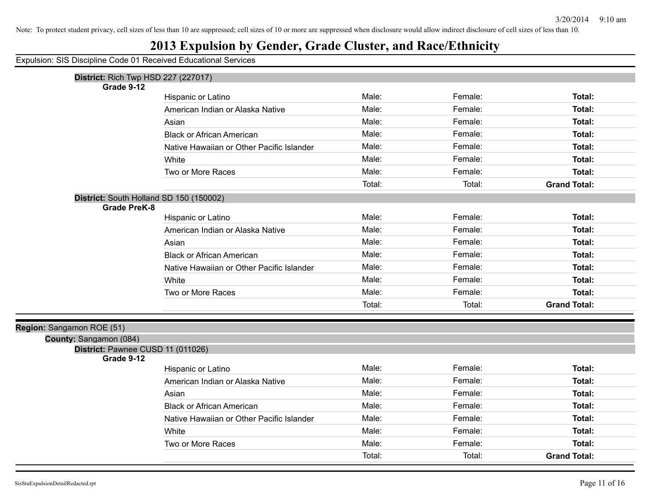## **2013 Expulsion by Gender, Grade Cluster, and Race/Ethnicity**

| <b>District: Rich Twp HSD 227 (227017)</b>                     |                                           |        |         |                     |
|----------------------------------------------------------------|-------------------------------------------|--------|---------|---------------------|
| Grade 9-12                                                     |                                           |        |         |                     |
|                                                                | Hispanic or Latino                        | Male:  | Female: | Total:              |
|                                                                | American Indian or Alaska Native          | Male:  | Female: | Total:              |
|                                                                | Asian                                     | Male:  | Female: | Total:              |
|                                                                | <b>Black or African American</b>          | Male:  | Female: | Total:              |
|                                                                | Native Hawaiian or Other Pacific Islander | Male:  | Female: | Total:              |
|                                                                | White                                     | Male:  | Female: | Total:              |
|                                                                | Two or More Races                         | Male:  | Female: | Total:              |
|                                                                |                                           | Total: | Total:  | <b>Grand Total:</b> |
| District: South Holland SD 150 (150002)<br><b>Grade PreK-8</b> |                                           |        |         |                     |
|                                                                | Hispanic or Latino                        | Male:  | Female: | Total:              |
|                                                                | American Indian or Alaska Native          | Male:  | Female: | <b>Total:</b>       |
|                                                                | Asian                                     | Male:  | Female: | Total:              |
|                                                                | <b>Black or African American</b>          | Male:  | Female: | <b>Total:</b>       |
|                                                                | Native Hawaiian or Other Pacific Islander | Male:  | Female: | Total:              |
|                                                                | White                                     | Male:  | Female: | Total:              |
|                                                                | Two or More Races                         | Male:  | Female: | Total:              |
|                                                                |                                           | Total: | Total:  | <b>Grand Total:</b> |
| Region: Sangamon ROE (51)                                      |                                           |        |         |                     |
| County: Sangamon (084)                                         |                                           |        |         |                     |
| District: Pawnee CUSD 11 (011026)<br>Grade 9-12                |                                           |        |         |                     |
|                                                                | Hispanic or Latino                        | Male:  | Female: | Total:              |
|                                                                | American Indian or Alaska Native          | Male:  | Female: | Total:              |
|                                                                | Asian                                     | Male:  | Female: | Total:              |
|                                                                | <b>Black or African American</b>          | Male:  | Female: | Total:              |
|                                                                | Native Hawaiian or Other Pacific Islander | Male:  | Female: | <b>Total:</b>       |
|                                                                | White                                     | Male:  | Female: | Total:              |
|                                                                | Two or More Races                         | Male:  | Female: | Total:              |
|                                                                |                                           | Total: | Total:  | <b>Grand Total:</b> |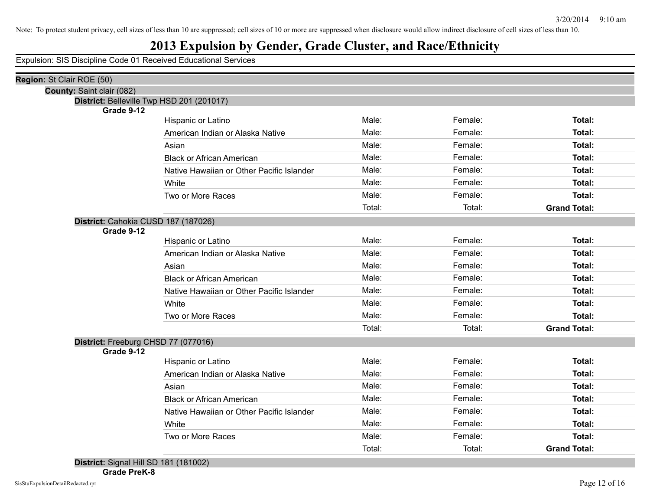## **2013 Expulsion by Gender, Grade Cluster, and Race/Ethnicity**

| Region: St Clair ROE (50)                 |                                           |        |         |                     |  |
|-------------------------------------------|-------------------------------------------|--------|---------|---------------------|--|
| County: Saint clair (082)                 |                                           |        |         |                     |  |
| District: Belleville Twp HSD 201 (201017) |                                           |        |         |                     |  |
| Grade 9-12                                | Hispanic or Latino                        | Male:  | Female: | Total:              |  |
|                                           | American Indian or Alaska Native          | Male:  | Female: | Total:              |  |
|                                           |                                           | Male:  | Female: | Total:              |  |
|                                           | Asian                                     | Male:  |         |                     |  |
|                                           | <b>Black or African American</b>          |        | Female: | Total:              |  |
|                                           | Native Hawaiian or Other Pacific Islander | Male:  | Female: | Total:              |  |
|                                           | White                                     | Male:  | Female: | Total:              |  |
|                                           | Two or More Races                         | Male:  | Female: | <b>Total:</b>       |  |
|                                           |                                           | Total: | Total:  | <b>Grand Total:</b> |  |
| District: Cahokia CUSD 187 (187026)       |                                           |        |         |                     |  |
| Grade 9-12                                |                                           |        |         |                     |  |
|                                           | Hispanic or Latino                        | Male:  | Female: | Total:              |  |
|                                           | American Indian or Alaska Native          | Male:  | Female: | Total:              |  |
|                                           | Asian                                     | Male:  | Female: | Total:              |  |
|                                           | <b>Black or African American</b>          | Male:  | Female: | Total:              |  |
|                                           | Native Hawaiian or Other Pacific Islander | Male:  | Female: | Total:              |  |
|                                           | White                                     | Male:  | Female: | Total:              |  |
|                                           | Two or More Races                         | Male:  | Female: | Total:              |  |
|                                           |                                           | Total: | Total:  | <b>Grand Total:</b> |  |
| District: Freeburg CHSD 77 (077016)       |                                           |        |         |                     |  |
| Grade 9-12                                |                                           |        |         |                     |  |
|                                           | Hispanic or Latino                        | Male:  | Female: | Total:              |  |
|                                           | American Indian or Alaska Native          | Male:  | Female: | Total:              |  |
|                                           | Asian                                     | Male:  | Female: | Total:              |  |
|                                           | <b>Black or African American</b>          | Male:  | Female: | Total:              |  |
|                                           | Native Hawaiian or Other Pacific Islander | Male:  | Female: | Total:              |  |
|                                           | White                                     | Male:  | Female: | Total:              |  |
|                                           | Two or More Races                         | Male:  | Female: | <b>Total:</b>       |  |
|                                           |                                           | Total: | Total:  | <b>Grand Total:</b> |  |
| $\blacksquare$                            |                                           |        |         |                     |  |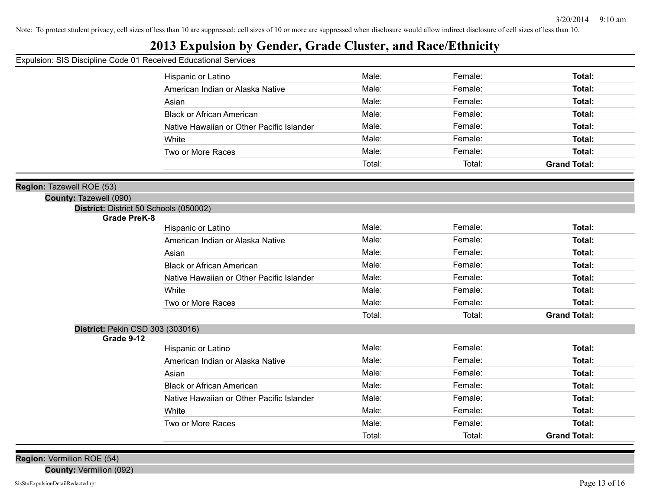## **2013 Expulsion by Gender, Grade Cluster, and Race/Ethnicity**

Expulsion: SIS Discipline Code 01 Received Educational Services

|                                        | Hispanic or Latino                        | Male:  | Female: | Total:              |
|----------------------------------------|-------------------------------------------|--------|---------|---------------------|
|                                        | American Indian or Alaska Native          | Male:  | Female: | <b>Total:</b>       |
|                                        | Asian                                     | Male:  | Female: | <b>Total:</b>       |
|                                        | <b>Black or African American</b>          | Male:  | Female: | <b>Total:</b>       |
|                                        | Native Hawaiian or Other Pacific Islander | Male:  | Female: | <b>Total:</b>       |
|                                        | White                                     | Male:  | Female: | Total:              |
|                                        | Two or More Races                         | Male:  | Female: | <b>Total:</b>       |
|                                        |                                           | Total: | Total:  | <b>Grand Total:</b> |
|                                        |                                           |        |         |                     |
| 1: Tazewell ROE (53)                   |                                           |        |         |                     |
| County: Tazewell (090)                 |                                           |        |         |                     |
| District: District 50 Schools (050002) |                                           |        |         |                     |
| <b>Grade PreK-8</b>                    | Hispanic or Latino                        | Male:  | Female: | Total:              |
|                                        | American Indian or Alaska Native          | Male:  | Female: | <b>Total:</b>       |
|                                        | Asian                                     | Male:  | Female: | <b>Total:</b>       |
|                                        | <b>Black or African American</b>          | Male:  | Female: | Total:              |
|                                        | Native Hawaiian or Other Pacific Islander | Male:  | Female: | <b>Total:</b>       |
|                                        | White                                     | Male:  | Female: | <b>Total:</b>       |
|                                        | Two or More Races                         | Male:  | Female: | <b>Total:</b>       |
|                                        |                                           | Total: | Total:  | <b>Grand Total:</b> |
| District: Pekin CSD 303 (303016)       |                                           |        |         |                     |
| Grade 9-12                             |                                           |        |         |                     |
|                                        | Hispanic or Latino                        | Male:  | Female: | <b>Total:</b>       |
|                                        | American Indian or Alaska Native          | Male:  | Female: | <b>Total:</b>       |
|                                        | Asian                                     | Male:  | Female: | Total:              |
|                                        | <b>Black or African American</b>          | Male:  | Female: | <b>Total:</b>       |
|                                        | Native Hawaiian or Other Pacific Islander | Male:  | Female: | <b>Total:</b>       |
|                                        | White                                     | Male:  | Female: | <b>Total:</b>       |
|                                        | Two or More Races                         | Male:  | Female: | <b>Total:</b>       |
|                                        |                                           | Total: | Total:  | <b>Grand Total:</b> |
|                                        |                                           |        |         |                     |

**Region:** Vermilion ROE (54)

**County:** Vermilion (092)

**Region**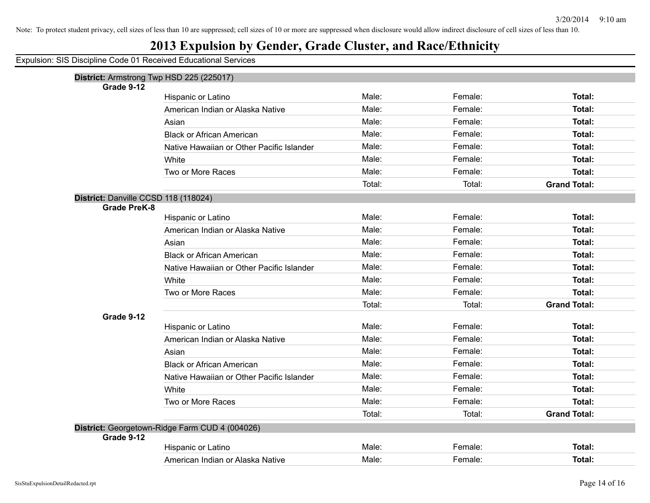## **2013 Expulsion by Gender, Grade Cluster, and Race/Ethnicity**

|                                                             | District: Armstrong Twp HSD 225 (225017)       |        |         |                     |
|-------------------------------------------------------------|------------------------------------------------|--------|---------|---------------------|
| Grade 9-12                                                  | Hispanic or Latino                             | Male:  | Female: | Total:              |
|                                                             | American Indian or Alaska Native               | Male:  | Female: | Total:              |
|                                                             | Asian                                          | Male:  | Female: | Total:              |
|                                                             | <b>Black or African American</b>               | Male:  | Female: | Total:              |
|                                                             | Native Hawaiian or Other Pacific Islander      | Male:  | Female: | Total:              |
|                                                             |                                                | Male:  | Female: | Total:              |
|                                                             | White                                          | Male:  | Female: | Total:              |
|                                                             | Two or More Races                              |        |         |                     |
|                                                             |                                                | Total: | Total:  | <b>Grand Total:</b> |
| District: Danville CCSD 118 (118024)<br><b>Grade PreK-8</b> |                                                |        |         |                     |
|                                                             | Hispanic or Latino                             | Male:  | Female: | Total:              |
|                                                             | American Indian or Alaska Native               | Male:  | Female: | Total:              |
|                                                             | Asian                                          | Male:  | Female: | Total:              |
|                                                             | <b>Black or African American</b>               | Male:  | Female: | Total:              |
|                                                             | Native Hawaiian or Other Pacific Islander      | Male:  | Female: | Total:              |
|                                                             | White                                          | Male:  | Female: | Total:              |
|                                                             | Two or More Races                              | Male:  | Female: | Total:              |
|                                                             |                                                | Total: | Total:  | <b>Grand Total:</b> |
| Grade 9-12                                                  |                                                |        |         |                     |
|                                                             | Hispanic or Latino                             | Male:  | Female: | Total:              |
|                                                             | American Indian or Alaska Native               | Male:  | Female: | Total:              |
|                                                             | Asian                                          | Male:  | Female: | Total:              |
|                                                             | <b>Black or African American</b>               | Male:  | Female: | Total:              |
|                                                             | Native Hawaiian or Other Pacific Islander      | Male:  | Female: | Total:              |
|                                                             | White                                          | Male:  | Female: | Total:              |
|                                                             | Two or More Races                              | Male:  | Female: | Total:              |
|                                                             |                                                | Total: | Total:  | <b>Grand Total:</b> |
|                                                             | District: Georgetown-Ridge Farm CUD 4 (004026) |        |         |                     |
| Grade 9-12                                                  |                                                |        |         |                     |
|                                                             | Hispanic or Latino                             | Male:  | Female: | Total:              |
|                                                             | American Indian or Alaska Native               | Male:  | Female: | Total:              |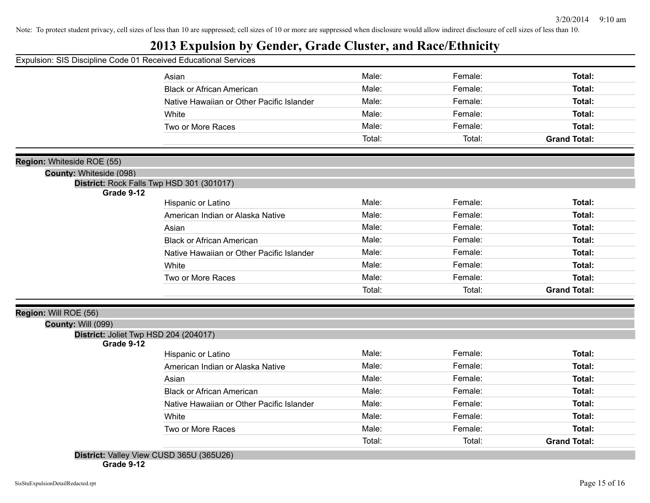## **2013 Expulsion by Gender, Grade Cluster, and Race/Ethnicity**

|                            | Expulsion: SIS Discipline Code 01 Received Educational Services |        |         |                     |
|----------------------------|-----------------------------------------------------------------|--------|---------|---------------------|
|                            | Asian                                                           | Male:  | Female: | Total:              |
|                            | <b>Black or African American</b>                                | Male:  | Female: | Total:              |
|                            | Native Hawaiian or Other Pacific Islander                       | Male:  | Female: | Total:              |
|                            | White                                                           | Male:  | Female: | Total:              |
|                            | Two or More Races                                               | Male:  | Female: | Total:              |
|                            |                                                                 | Total: | Total:  | <b>Grand Total:</b> |
| Region: Whiteside ROE (55) |                                                                 |        |         |                     |
| County: Whiteside (098)    |                                                                 |        |         |                     |
| Grade 9-12                 | District: Rock Falls Twp HSD 301 (301017)                       |        |         |                     |
|                            | Hispanic or Latino                                              | Male:  | Female: | Total:              |
|                            | American Indian or Alaska Native                                | Male:  | Female: | Total:              |
|                            | Asian                                                           | Male:  | Female: | Total:              |
|                            | <b>Black or African American</b>                                | Male:  | Female: | Total:              |
|                            | Native Hawaiian or Other Pacific Islander                       | Male:  | Female: | Total:              |
|                            | White                                                           | Male:  | Female: | Total:              |
|                            | Two or More Races                                               | Male:  | Female: | Total:              |
|                            |                                                                 | Total: | Total:  | <b>Grand Total:</b> |
| Region: Will ROE (56)      |                                                                 |        |         |                     |
| <b>County: Will (099)</b>  |                                                                 |        |         |                     |
| Grade 9-12                 | District: Joliet Twp HSD 204 (204017)                           |        |         |                     |
|                            | Hispanic or Latino                                              | Male:  | Female: | Total:              |
|                            | American Indian or Alaska Native                                | Male:  | Female: | Total:              |
|                            | Asian                                                           | Male:  | Female: | Total:              |
|                            | <b>Black or African American</b>                                | Male:  | Female: | Total:              |
|                            |                                                                 | Male:  | Female: | Total:              |
|                            | Native Hawaiian or Other Pacific Islander                       |        |         |                     |
|                            | White                                                           | Male:  | Female: | Total:              |
|                            | Two or More Races                                               | Male:  | Female: | Total:              |

**Grade 9-12**